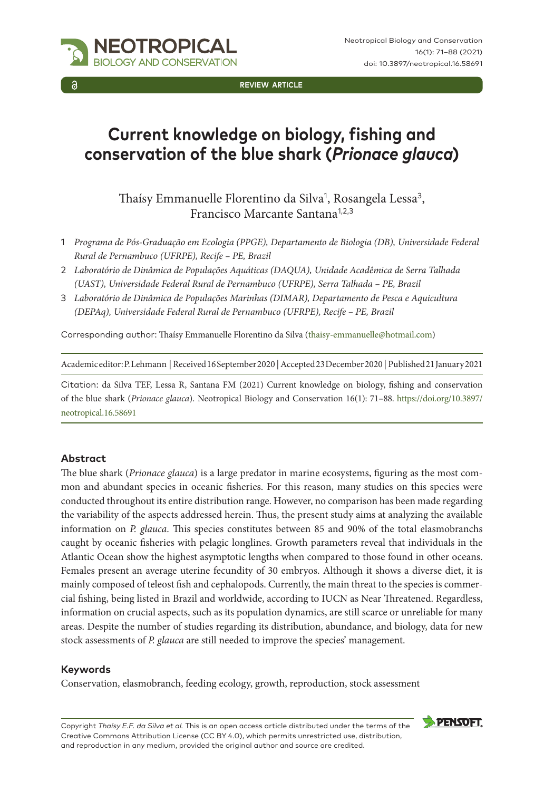

**REVIEW ARTICLE**

# **Current knowledge on biology, fishing and conservation of the blue shark (***Prionace glauca***)**

Thaísy Emmanuelle Florentino da Silva<sup>1</sup>, Rosangela Lessa<sup>3</sup>, Francisco Marcante Santana1,2,3

- 1 *Programa de Pós-Graduação em Ecologia (PPGE), Departamento de Biologia (DB), Universidade Federal Rural de Pernambuco (UFRPE), Recife – PE, Brazil*
- 2 *Laboratório de Dinâmica de Populações Aquáticas (DAQUA), Unidade Acadêmica de Serra Talhada (UAST), Universidade Federal Rural de Pernambuco (UFRPE), Serra Talhada – PE, Brazil*
- 3 *Laboratório de Dinâmica de Populações Marinhas (DIMAR), Departamento de Pesca e Aquicultura (DEPAq), Universidade Federal Rural de Pernambuco (UFRPE), Recife – PE, Brazil*

Corresponding author: Thaísy Emmanuelle Florentino da Silva [\(thaisy-emmanuelle@hotmail.com\)](mailto:thaisy-emmanuelle@hotmail.com)

Academic editor: P. Lehmann | Received 16 September 2020 | Accepted 23 December 2020 | Published 21 January 2021

Citation: da Silva TEF, Lessa R, Santana FM (2021) Current knowledge on biology, fishing and conservation of the blue shark (*Prionace glauca*). Neotropical Biology and Conservation 16(1): 71–88. [https://doi.org/10.3897/](https://doi.org/10.3897/neotropical.16.58691) [neotropical.16.58691](https://doi.org/10.3897/neotropical.16.58691)

#### **Abstract**

The blue shark (*Prionace glauca*) is a large predator in marine ecosystems, figuring as the most common and abundant species in oceanic fisheries. For this reason, many studies on this species were conducted throughout its entire distribution range. However, no comparison has been made regarding the variability of the aspects addressed herein. Thus, the present study aims at analyzing the available information on *P. glauca*. This species constitutes between 85 and 90% of the total elasmobranchs caught by oceanic fisheries with pelagic longlines. Growth parameters reveal that individuals in the Atlantic Ocean show the highest asymptotic lengths when compared to those found in other oceans. Females present an average uterine fecundity of 30 embryos. Although it shows a diverse diet, it is mainly composed of teleost fish and cephalopods. Currently, the main threat to the species is commercial fishing, being listed in Brazil and worldwide, according to IUCN as Near Threatened. Regardless, information on crucial aspects, such as its population dynamics, are still scarce or unreliable for many areas. Despite the number of studies regarding its distribution, abundance, and biology, data for new stock assessments of *P. glauca* are still needed to improve the species' management.

#### **Keywords**

Conservation, elasmobranch, feeding ecology, growth, reproduction, stock assessment

Copyright *Thaísy E.F. da Silva et al.* This is an open access article distributed under the terms of the [Creative Commons Attribution License \(CC BY 4.0\),](http://creativecommons.org/licenses/by/4.0/) which permits unrestricted use, distribution, and reproduction in any medium, provided the original author and source are credited.

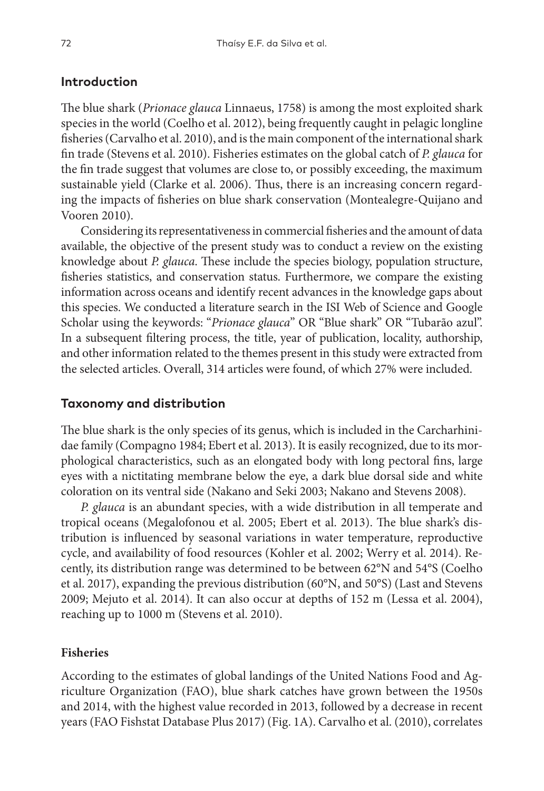# **Introduction**

The blue shark (*Prionace glauca* Linnaeus, 1758) is among the most exploited shark species in the world (Coelho et al. 2012), being frequently caught in pelagic longline fisheries (Carvalho et al. 2010), and is the main component of the international shark fin trade (Stevens et al. 2010). Fisheries estimates on the global catch of *P. glauca* for the fin trade suggest that volumes are close to, or possibly exceeding, the maximum sustainable yield (Clarke et al. 2006). Thus, there is an increasing concern regarding the impacts of fisheries on blue shark conservation (Montealegre-Quijano and Vooren 2010).

Considering its representativeness in commercial fisheries and the amount of data available, the objective of the present study was to conduct a review on the existing knowledge about *P. glauca*. These include the species biology, population structure, fisheries statistics, and conservation status. Furthermore, we compare the existing information across oceans and identify recent advances in the knowledge gaps about this species. We conducted a literature search in the ISI Web of Science and Google Scholar using the keywords: "*Prionace glauca*" OR "Blue shark" OR "Tubarão azul". In a subsequent filtering process, the title, year of publication, locality, authorship, and other information related to the themes present in this study were extracted from the selected articles. Overall, 314 articles were found, of which 27% were included.

#### **Taxonomy and distribution**

The blue shark is the only species of its genus, which is included in the Carcharhinidae family (Compagno 1984; Ebert et al. 2013). It is easily recognized, due to its morphological characteristics, such as an elongated body with long pectoral fins, large eyes with a nictitating membrane below the eye, a dark blue dorsal side and white coloration on its ventral side (Nakano and Seki 2003; Nakano and Stevens 2008).

*P. glauca* is an abundant species, with a wide distribution in all temperate and tropical oceans (Megalofonou et al. 2005; Ebert et al. 2013). The blue shark's distribution is influenced by seasonal variations in water temperature, reproductive cycle, and availability of food resources (Kohler et al. 2002; Werry et al. 2014). Recently, its distribution range was determined to be between 62°N and 54°S (Coelho et al. 2017), expanding the previous distribution (60°N, and 50°S) (Last and Stevens 2009; Mejuto et al. 2014). It can also occur at depths of 152 m (Lessa et al. 2004), reaching up to 1000 m (Stevens et al. 2010).

#### **Fisheries**

According to the estimates of global landings of the United Nations Food and Agriculture Organization (FAO), blue shark catches have grown between the 1950s and 2014, with the highest value recorded in 2013, followed by a decrease in recent years (FAO Fishstat Database Plus 2017) (Fig. 1A). Carvalho et al. (2010), correlates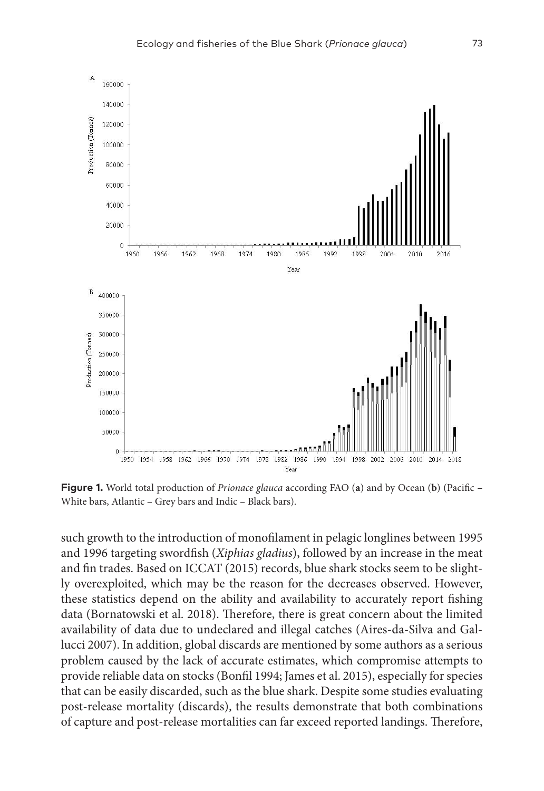

**Figure 1.** World total production of *Prionace glauca* according FAO (**a**) and by Ocean (**b**) (Pacific – White bars, Atlantic – Grey bars and Indic – Black bars).

such growth to the introduction of monofilament in pelagic longlines between 1995 and 1996 targeting swordfish (*Xiphias gladius*), followed by an increase in the meat and fin trades. Based on ICCAT (2015) records, blue shark stocks seem to be slightly overexploited, which may be the reason for the decreases observed. However, these statistics depend on the ability and availability to accurately report fishing data (Bornatowski et al. 2018). Therefore, there is great concern about the limited availability of data due to undeclared and illegal catches (Aires-da-Silva and Gallucci 2007). In addition, global discards are mentioned by some authors as a serious problem caused by the lack of accurate estimates, which compromise attempts to provide reliable data on stocks (Bonfil 1994; James et al. 2015), especially for species that can be easily discarded, such as the blue shark. Despite some studies evaluating post-release mortality (discards), the results demonstrate that both combinations of capture and post-release mortalities can far exceed reported landings. Therefore,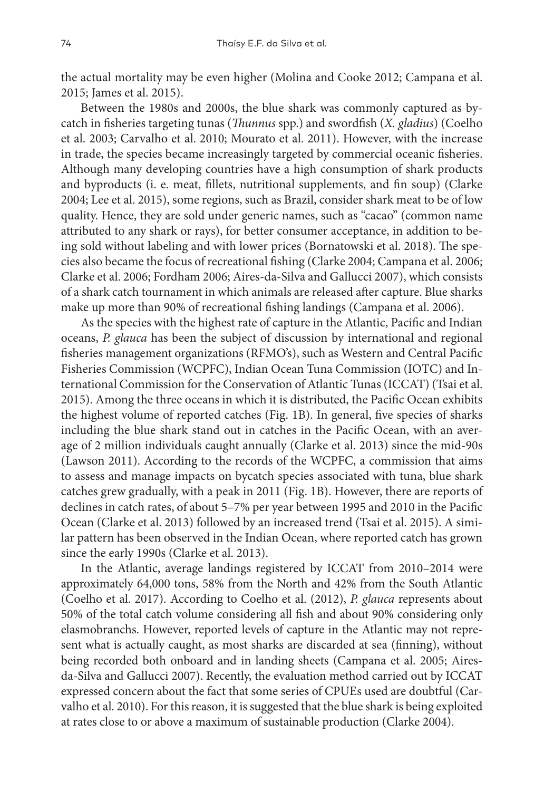the actual mortality may be even higher (Molina and Cooke 2012; Campana et al. 2015; James et al. 2015).

Between the 1980s and 2000s, the blue shark was commonly captured as bycatch in fisheries targeting tunas (*Thunnus* spp.) and swordfish (*X. gladius*) (Coelho et al. 2003; Carvalho et al. 2010; Mourato et al. 2011). However, with the increase in trade, the species became increasingly targeted by commercial oceanic fisheries. Although many developing countries have a high consumption of shark products and byproducts (i. e. meat, fillets, nutritional supplements, and fin soup) (Clarke 2004; Lee et al. 2015), some regions, such as Brazil, consider shark meat to be of low quality. Hence, they are sold under generic names, such as "cacao" (common name attributed to any shark or rays), for better consumer acceptance, in addition to being sold without labeling and with lower prices (Bornatowski et al. 2018). The species also became the focus of recreational fishing (Clarke 2004; Campana et al. 2006; Clarke et al. 2006; Fordham 2006; Aires-da-Silva and Gallucci 2007), which consists of a shark catch tournament in which animals are released after capture. Blue sharks make up more than 90% of recreational fishing landings (Campana et al. 2006).

As the species with the highest rate of capture in the Atlantic, Pacific and Indian oceans, *P. glauca* has been the subject of discussion by international and regional fisheries management organizations (RFMO's), such as Western and Central Pacific Fisheries Commission (WCPFC), Indian Ocean Tuna Commission (IOTC) and International Commission for the Conservation of Atlantic Tunas (ICCAT) (Tsai et al. 2015). Among the three oceans in which it is distributed, the Pacific Ocean exhibits the highest volume of reported catches (Fig. 1B). In general, five species of sharks including the blue shark stand out in catches in the Pacific Ocean, with an average of 2 million individuals caught annually (Clarke et al. 2013) since the mid-90s (Lawson 2011). According to the records of the WCPFC, a commission that aims to assess and manage impacts on bycatch species associated with tuna, blue shark catches grew gradually, with a peak in 2011 (Fig. 1B). However, there are reports of declines in catch rates, of about 5–7% per year between 1995 and 2010 in the Pacific Ocean (Clarke et al. 2013) followed by an increased trend (Tsai et al. 2015). A similar pattern has been observed in the Indian Ocean, where reported catch has grown since the early 1990s (Clarke et al. 2013).

In the Atlantic, average landings registered by ICCAT from 2010–2014 were approximately 64,000 tons, 58% from the North and 42% from the South Atlantic (Coelho et al. 2017). According to Coelho et al. (2012), *P. glauca* represents about 50% of the total catch volume considering all fish and about 90% considering only elasmobranchs. However, reported levels of capture in the Atlantic may not represent what is actually caught, as most sharks are discarded at sea (finning), without being recorded both onboard and in landing sheets (Campana et al. 2005; Airesda-Silva and Gallucci 2007). Recently, the evaluation method carried out by ICCAT expressed concern about the fact that some series of CPUEs used are doubtful (Carvalho et al. 2010). For this reason, it is suggested that the blue shark is being exploited at rates close to or above a maximum of sustainable production (Clarke 2004).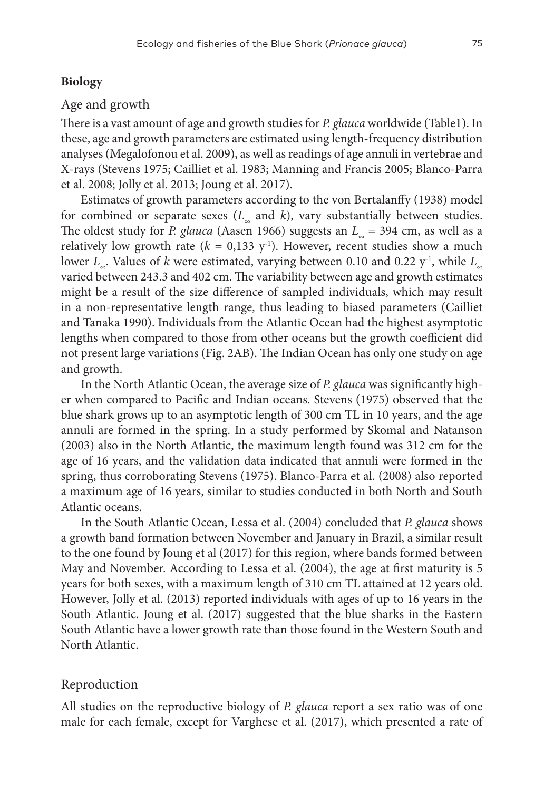# **Biology**

# Age and growth

There is a vast amount of age and growth studies for *P. glauca* worldwide (Table1). In these, age and growth parameters are estimated using length-frequency distribution analyses (Megalofonou et al. 2009), as well as readings of age annuli in vertebrae and X-rays (Stevens 1975; Cailliet et al. 1983; Manning and Francis 2005; Blanco-Parra et al. 2008; Jolly et al. 2013; Joung et al. 2017).

Estimates of growth parameters according to the von Bertalanffy (1938) model for combined or separate sexes (*L<sub>∞</sub>* and *k*), vary substantially between studies. The oldest study for *P. glauca* (Aasen 1966) suggests an *L∞* = 394 cm, as well as a relatively low growth rate  $(k = 0.133 \text{ y}^{-1})$ . However, recent studies show a much lower *L<sub>∞</sub>*. Values of *k* were estimated, varying between 0.10 and 0.22 y<sup>-1</sup>, while *L*<sub>∞</sub> varied between 243.3 and 402 cm. The variability between age and growth estimates might be a result of the size difference of sampled individuals, which may result in a non-representative length range, thus leading to biased parameters (Cailliet and Tanaka 1990). Individuals from the Atlantic Ocean had the highest asymptotic lengths when compared to those from other oceans but the growth coefficient did not present large variations (Fig. 2AB). The Indian Ocean has only one study on age and growth.

In the North Atlantic Ocean, the average size of *P. glauca* was significantly higher when compared to Pacific and Indian oceans. Stevens (1975) observed that the blue shark grows up to an asymptotic length of 300 cm TL in 10 years, and the age annuli are formed in the spring. In a study performed by Skomal and Natanson (2003) also in the North Atlantic, the maximum length found was 312 cm for the age of 16 years, and the validation data indicated that annuli were formed in the spring, thus corroborating Stevens (1975). Blanco-Parra et al. (2008) also reported a maximum age of 16 years, similar to studies conducted in both North and South Atlantic oceans.

In the South Atlantic Ocean, Lessa et al. (2004) concluded that *P. glauca* shows a growth band formation between November and January in Brazil, a similar result to the one found by Joung et al (2017) for this region, where bands formed between May and November. According to Lessa et al. (2004), the age at first maturity is 5 years for both sexes, with a maximum length of 310 cm TL attained at 12 years old. However, Jolly et al. (2013) reported individuals with ages of up to 16 years in the South Atlantic. Joung et al. (2017) suggested that the blue sharks in the Eastern South Atlantic have a lower growth rate than those found in the Western South and North Atlantic.

# Reproduction

All studies on the reproductive biology of *P. glauca* report a sex ratio was of one male for each female, except for Varghese et al. (2017), which presented a rate of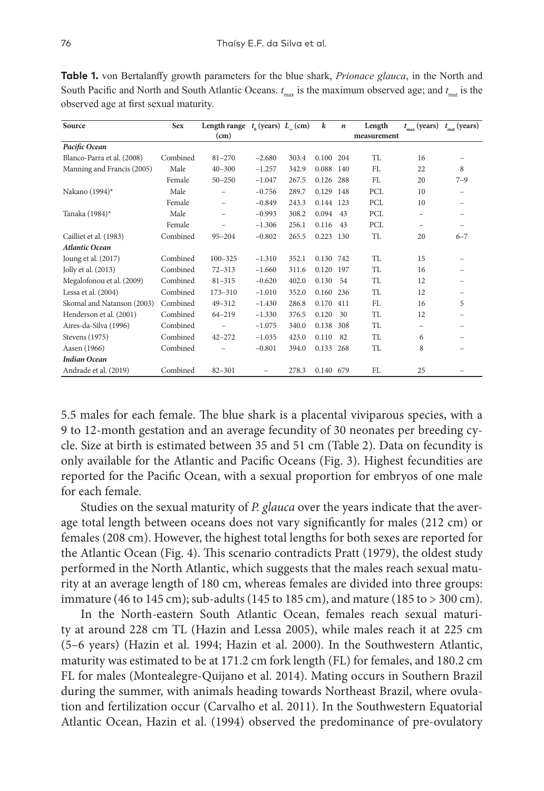| Source                     | <b>Sex</b> | Length range $t_0$ (years) $L_$ (cm) |                          |       | $\boldsymbol{k}$ | $\boldsymbol{n}$ | Length      | $t_{\text{max}}$ (years) | $t_{\text{mat}}$ (years) |
|----------------------------|------------|--------------------------------------|--------------------------|-------|------------------|------------------|-------------|--------------------------|--------------------------|
|                            |            | (cm)                                 |                          |       |                  |                  | measurement |                          |                          |
| Pacific Ocean              |            |                                      |                          |       |                  |                  |             |                          |                          |
| Blanco-Parra et al. (2008) | Combined   | $81 - 270$                           | $-2.680$                 | 303.4 | 0.100 204        |                  | <b>TL</b>   | 16                       |                          |
| Manning and Francis (2005) | Male       | $40 - 300$                           | $-1.257$                 | 342.9 | 0.088            | 140              | FL          | 22                       | 8                        |
|                            | Female     | $50 - 250$                           | $-1.047$                 | 267.5 | 0.126            | 288              | FL          | 20                       | $7 - 9$                  |
| Nakano (1994)*             | Male       |                                      | $-0.756$                 | 289.7 | 0.129            | 148              | PCL         | 10                       |                          |
|                            | Female     |                                      | $-0.849$                 | 243.3 | 0.144            | 123              | PCL         | 10                       |                          |
| Tanaka (1984)*             | Male       | $\overline{\phantom{0}}$             | $-0.993$                 | 308.2 | 0.094            | 43               | PCL         | -                        | -                        |
|                            | Female     |                                      | $-1.306$                 | 256.1 | 0.116            | 43               | PCL         | -                        | -                        |
| Cailliet et al. (1983)     | Combined   | $95 - 204$                           | $-0.802$                 | 265.5 | 0.223            | 130              | TL          | 20                       | $6 - 7$                  |
| <b>Atlantic Ocean</b>      |            |                                      |                          |       |                  |                  |             |                          |                          |
| Joung et al. (2017)        | Combined   | $100 - 325$                          | $-1.310$                 | 352.1 | 0.130 742        |                  | TI.         | 15                       |                          |
| Jolly et al. (2013)        | Combined   | $72 - 313$                           | $-1.660$                 | 311.6 | 0.120            | 197              | TL          | 16                       | -                        |
| Megalofonou et al. (2009)  | Combined   | $81 - 315$                           | $-0.620$                 | 402.0 | 0.130            | 54               | TL          | 12                       | -                        |
| Lessa et al. (2004)        | Combined   | $173 - 310$                          | $-1.010$                 | 352.0 | 0.160            | 236              | <b>TL</b>   | 12                       |                          |
| Skomal and Natanson (2003) | Combined   | $49 - 312$                           | $-1.430$                 | 286.8 | 0.170            | 411              | FL          | 16                       | 5                        |
| Henderson et al. (2001)    | Combined   | $64 - 219$                           | $-1.330$                 | 376.5 | 0.120            | 30               | <b>TL</b>   | 12                       |                          |
| Aires-da-Silva (1996)      | Combined   |                                      | $-1.075$                 | 340.0 | 0.138            | 308              | <b>TL</b>   | -                        |                          |
| Stevens (1975)             | Combined   | $42 - 272$                           | $-1.035$                 | 423.0 | 0.110            | 82               | TL          | 6                        |                          |
| Aasen (1966)               | Combined   |                                      | $-0.801$                 | 394.0 | 0.133            | 268              | TL          | 8                        |                          |
| <b>Indian Ocean</b>        |            |                                      |                          |       |                  |                  |             |                          |                          |
| Andrade et al. (2019)      | Combined   | $82 - 301$                           | $\overline{\phantom{0}}$ | 278.3 | 0.140 679        |                  | FL          | 25                       |                          |

**Table 1.** von Bertalanffy growth parameters for the blue shark, *Prionace glauca*, in the North and South Pacific and North and South Atlantic Oceans.  $t_{\text{max}}$  is the maximum observed age; and  $t_{\text{max}}$  is the observed age at first sexual maturity.

5.5 males for each female. The blue shark is a placental viviparous species, with a 9 to 12-month gestation and an average fecundity of 30 neonates per breeding cycle. Size at birth is estimated between 35 and 51 cm (Table 2). Data on fecundity is only available for the Atlantic and Pacific Oceans (Fig. 3). Highest fecundities are reported for the Pacific Ocean, with a sexual proportion for embryos of one male for each female.

Studies on the sexual maturity of *P. glauca* over the years indicate that the average total length between oceans does not vary significantly for males (212 cm) or females (208 cm). However, the highest total lengths for both sexes are reported for the Atlantic Ocean (Fig. 4). This scenario contradicts Pratt (1979), the oldest study performed in the North Atlantic, which suggests that the males reach sexual maturity at an average length of 180 cm, whereas females are divided into three groups: immature (46 to 145 cm); sub-adults (145 to 185 cm), and mature (185 to > 300 cm).

In the North-eastern South Atlantic Ocean, females reach sexual maturity at around 228 cm TL (Hazin and Lessa 2005), while males reach it at 225 cm (5–6 years) (Hazin et al. 1994; Hazin et al. 2000). In the Southwestern Atlantic, maturity was estimated to be at 171.2 cm fork length (FL) for females, and 180.2 cm FL for males (Montealegre-Quijano et al. 2014). Mating occurs in Southern Brazil during the summer, with animals heading towards Northeast Brazil, where ovulation and fertilization occur (Carvalho et al. 2011). In the Southwestern Equatorial Atlantic Ocean, Hazin et al. (1994) observed the predominance of pre-ovulatory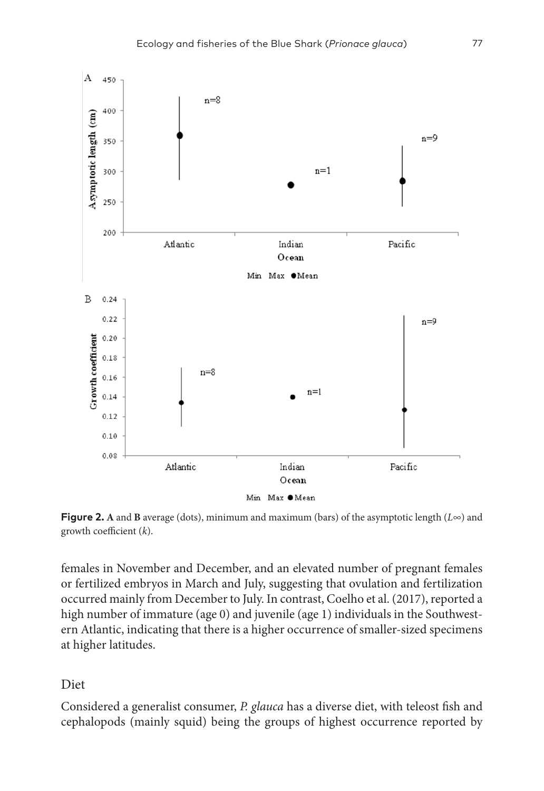

**Figure 2. A** and **B** average (dots), minimum and maximum (bars) of the asymptotic length (*L∞*) and growth coefficient (*k*).

females in November and December, and an elevated number of pregnant females or fertilized embryos in March and July, suggesting that ovulation and fertilization occurred mainly from December to July. In contrast, Coelho et al. (2017), reported a high number of immature (age 0) and juvenile (age 1) individuals in the Southwestern Atlantic, indicating that there is a higher occurrence of smaller-sized specimens at higher latitudes.

# Diet

Considered a generalist consumer, *P. glauca* has a diverse diet, with teleost fish and cephalopods (mainly squid) being the groups of highest occurrence reported by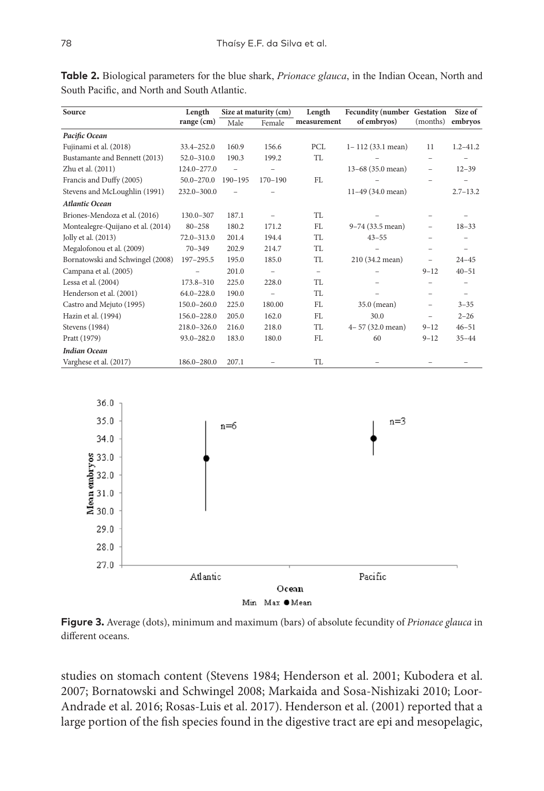| Source                            | Length          | Size at maturity (cm)    |                          | Length                   | Fecundity (number Gestation |                   | Size of                  |
|-----------------------------------|-----------------|--------------------------|--------------------------|--------------------------|-----------------------------|-------------------|--------------------------|
|                                   | $range$ (cm)    | Male                     | Female                   | measurement              | of embryos)                 | (months)          | embryos                  |
| Pacific Ocean                     |                 |                          |                          |                          |                             |                   |                          |
| Fujinami et al. (2018)            | 33.4-252.0      | 160.9                    | 156.6                    | PCL                      | $1 - 112$ (33.1 mean)       | 11                | $1.2 - 41.2$             |
| Bustamante and Bennett (2013)     | $52.0 - 310.0$  | 190.3                    | 199.2                    | TL                       |                             |                   |                          |
| Zhu et al. (2011)                 | 124.0-277.0     | $\overline{\phantom{0}}$ | $\overline{\phantom{0}}$ |                          | 13-68 (35.0 mean)           | -                 | $12 - 39$                |
| Francis and Duffy (2005)          | $50.0 - 270.0$  | $190 - 195$              | $170 - 190$              | FL                       |                             |                   |                          |
| Stevens and McLoughlin (1991)     | 232.0-300.0     |                          |                          |                          | 11-49 (34.0 mean)           |                   | $2.7 - 13.2$             |
| <b>Atlantic Ocean</b>             |                 |                          |                          |                          |                             |                   |                          |
| Briones-Mendoza et al. (2016)     | $130.0 - 307$   | 187.1                    |                          | <b>TL</b>                |                             |                   |                          |
| Montealegre-Quijano et al. (2014) | $80 - 258$      | 180.2                    | 171.2                    | FL                       | 9-74 (33.5 mean)            | -                 | $18 - 33$                |
| Jolly et al. (2013)               | $72.0 - 313.0$  | 201.4                    | 194.4                    | TL                       | $43 - 55$                   |                   |                          |
| Megalofonou et al. (2009)         | $70 - 349$      | 202.9                    | 214.7                    | <b>TL</b>                |                             |                   |                          |
| Bornatowski and Schwingel (2008)  | 197-295.5       | 195.0                    | 185.0                    | TL                       | 210 (34.2 mean)             | $\qquad \qquad -$ | $24 - 45$                |
| Campana et al. (2005)             |                 | 201.0                    | $\qquad \qquad -$        | $\overline{\phantom{0}}$ |                             | $9 - 12$          | $40 - 51$                |
| Lessa et al. (2004)               | 173.8-310       | 225.0                    | 228.0                    | <b>TL</b>                |                             |                   |                          |
| Henderson et al. (2001)           | $64.0 - 228.0$  | 190.0                    | $\qquad \qquad -$        | TL                       |                             |                   | $\overline{\phantom{m}}$ |
| Castro and Mejuto (1995)          | 150.0-260.0     | 225.0                    | 180.00                   | FL                       | 35.0 (mean)                 | -                 | $3 - 35$                 |
| Hazin et al. (1994)               | 156.0-228.0     | 205.0                    | 162.0                    | FL                       | 30.0                        |                   | $2 - 26$                 |
| Stevens (1984)                    | $218.0 - 326.0$ | 216.0                    | 218.0                    | TL                       | 4-57 (32.0 mean)            | $9 - 12$          | $46 - 51$                |
| Pratt (1979)                      | $93.0 - 282.0$  | 183.0                    | 180.0                    | FL                       | 60                          | $9 - 12$          | $35 - 44$                |
| <b>Indian Ocean</b>               |                 |                          |                          |                          |                             |                   |                          |
| Varghese et al. (2017)            | 186.0-280.0     | 207.1                    |                          | TL                       |                             |                   |                          |

**Table 2.** Biological parameters for the blue shark, *Prionace glauca*, in the Indian Ocean, North and South Pacific, and North and South Atlantic.



**Figure 3.** Average (dots), minimum and maximum (bars) of absolute fecundity of *Prionace glauca* in different oceans.

studies on stomach content (Stevens 1984; Henderson et al. 2001; Kubodera et al. 2007; Bornatowski and Schwingel 2008; Markaida and Sosa-Nishizaki 2010; Loor-Andrade et al. 2016; Rosas-Luis et al. 2017). Henderson et al. (2001) reported that a large portion of the fish species found in the digestive tract are epi and mesopelagic,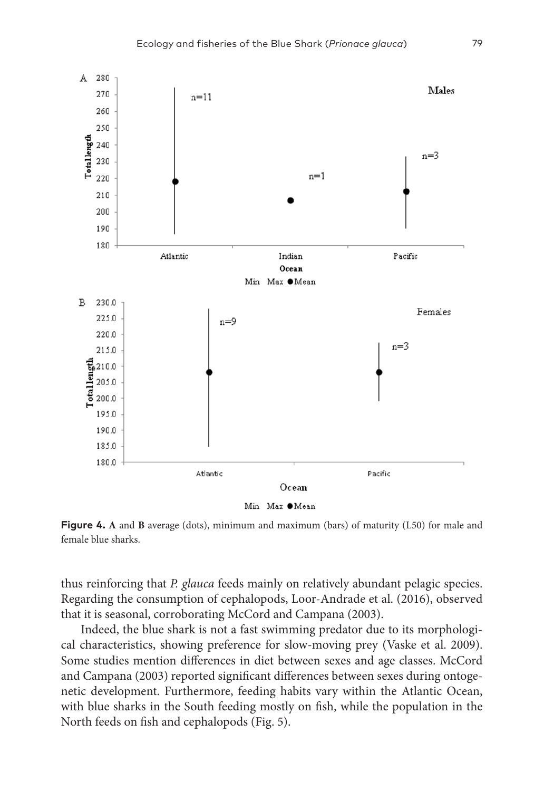

Min Max OMean

**Figure 4. A** and **B** average (dots), minimum and maximum (bars) of maturity (L50) for male and female blue sharks.

thus reinforcing that *P. glauca* feeds mainly on relatively abundant pelagic species. Regarding the consumption of cephalopods, Loor-Andrade et al. (2016), observed that it is seasonal, corroborating McCord and Campana (2003).

Indeed, the blue shark is not a fast swimming predator due to its morphological characteristics, showing preference for slow-moving prey (Vaske et al. 2009). Some studies mention differences in diet between sexes and age classes. McCord and Campana (2003) reported significant differences between sexes during ontogenetic development. Furthermore, feeding habits vary within the Atlantic Ocean, with blue sharks in the South feeding mostly on fish, while the population in the North feeds on fish and cephalopods (Fig. 5).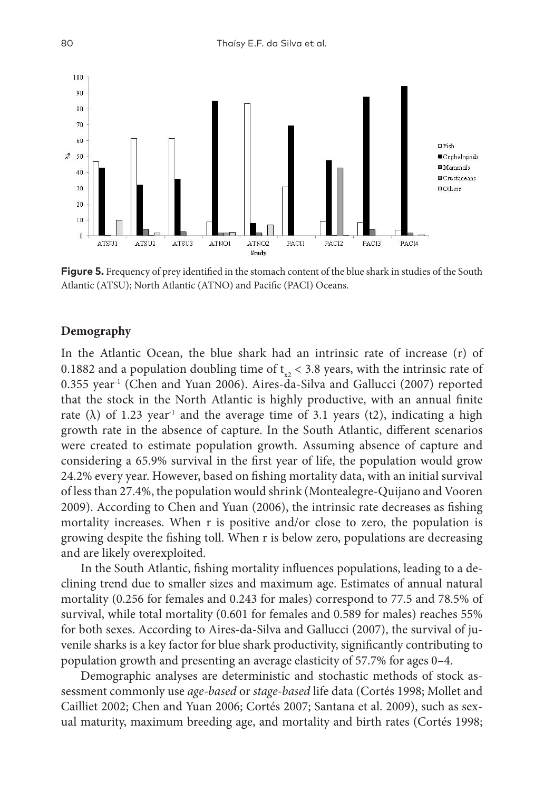

**Figure 5.** Frequency of prey identified in the stomach content of the blue shark in studies of the South Atlantic (ATSU); North Atlantic (ATNO) and Pacific (PACI) Oceans.

#### **Demography**

In the Atlantic Ocean, the blue shark had an intrinsic rate of increase (r) of 0.1882 and a population doubling time of  $t<sub>z</sub> < 3.8$  years, with the intrinsic rate of  $0.355$  year<sup>-1</sup> (Chen and Yuan 2006). Aires-da-Silva and Gallucci (2007) reported that the stock in the North Atlantic is highly productive, with an annual finite rate ( $\lambda$ ) of 1.23 year<sup>-1</sup> and the average time of 3.1 years (t2), indicating a high growth rate in the absence of capture. In the South Atlantic, different scenarios were created to estimate population growth. Assuming absence of capture and considering a 65.9% survival in the first year of life, the population would grow 24.2% every year. However, based on fishing mortality data, with an initial survival of less than 27.4%, the population would shrink (Montealegre-Quijano and Vooren 2009). According to Chen and Yuan (2006), the intrinsic rate decreases as fishing mortality increases. When r is positive and/or close to zero, the population is growing despite the fishing toll. When r is below zero, populations are decreasing and are likely overexploited.

In the South Atlantic, fishing mortality influences populations, leading to a declining trend due to smaller sizes and maximum age. Estimates of annual natural mortality (0.256 for females and 0.243 for males) correspond to 77.5 and 78.5% of survival, while total mortality (0.601 for females and 0.589 for males) reaches 55% for both sexes. According to Aires-da-Silva and Gallucci (2007), the survival of juvenile sharks is a key factor for blue shark productivity, significantly contributing to population growth and presenting an average elasticity of 57.7% for ages 0–4.

Demographic analyses are deterministic and stochastic methods of stock assessment commonly use *age-based* or *stage-based* life data (Cortés 1998; Mollet and Cailliet 2002; Chen and Yuan 2006; Cortés 2007; Santana et al. 2009), such as sexual maturity, maximum breeding age, and mortality and birth rates (Cortés 1998;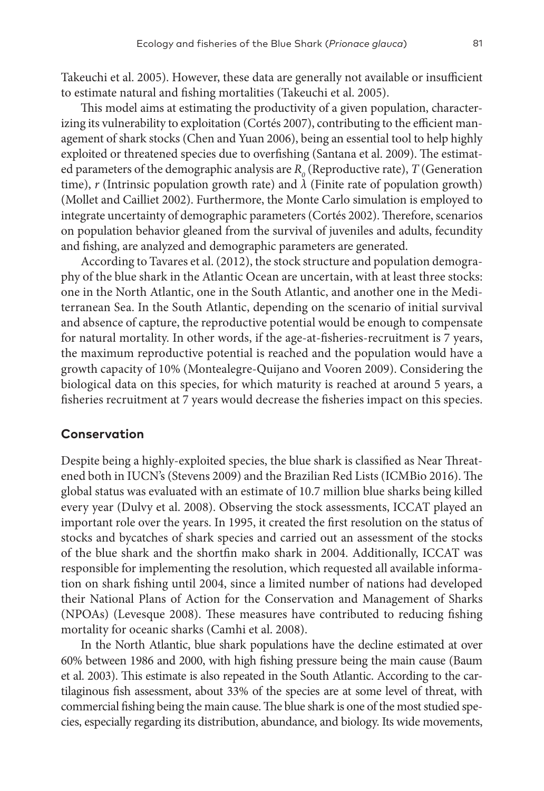Takeuchi et al. 2005). However, these data are generally not available or insufficient to estimate natural and fishing mortalities (Takeuchi et al. 2005).

This model aims at estimating the productivity of a given population, characterizing its vulnerability to exploitation (Cortés 2007), contributing to the efficient management of shark stocks (Chen and Yuan 2006), being an essential tool to help highly exploited or threatened species due to overfishing (Santana et al. 2009). The estimated parameters of the demographic analysis are  $R_{\theta}$  (Reproductive rate), *T* (Generation time), *r* (Intrinsic population growth rate) and  $\lambda$  (Finite rate of population growth) (Mollet and Cailliet 2002). Furthermore, the Monte Carlo simulation is employed to integrate uncertainty of demographic parameters (Cortés 2002). Therefore, scenarios on population behavior gleaned from the survival of juveniles and adults, fecundity and fishing, are analyzed and demographic parameters are generated.

According to Tavares et al. (2012), the stock structure and population demography of the blue shark in the Atlantic Ocean are uncertain, with at least three stocks: one in the North Atlantic, one in the South Atlantic, and another one in the Mediterranean Sea. In the South Atlantic, depending on the scenario of initial survival and absence of capture, the reproductive potential would be enough to compensate for natural mortality. In other words, if the age-at-fisheries-recruitment is 7 years, the maximum reproductive potential is reached and the population would have a growth capacity of 10% (Montealegre-Quijano and Vooren 2009). Considering the biological data on this species, for which maturity is reached at around 5 years, a fisheries recruitment at 7 years would decrease the fisheries impact on this species.

#### **Conservation**

Despite being a highly-exploited species, the blue shark is classified as Near Threatened both in IUCN's (Stevens 2009) and the Brazilian Red Lists (ICMBio 2016). The global status was evaluated with an estimate of 10.7 million blue sharks being killed every year (Dulvy et al. 2008). Observing the stock assessments, ICCAT played an important role over the years. In 1995, it created the first resolution on the status of stocks and bycatches of shark species and carried out an assessment of the stocks of the blue shark and the shortfin mako shark in 2004. Additionally, ICCAT was responsible for implementing the resolution, which requested all available information on shark fishing until 2004, since a limited number of nations had developed their National Plans of Action for the Conservation and Management of Sharks (NPOAs) (Levesque 2008). These measures have contributed to reducing fishing mortality for oceanic sharks (Camhi et al. 2008).

In the North Atlantic, blue shark populations have the decline estimated at over 60% between 1986 and 2000, with high fishing pressure being the main cause (Baum et al. 2003). This estimate is also repeated in the South Atlantic. According to the cartilaginous fish assessment, about 33% of the species are at some level of threat, with commercial fishing being the main cause. The blue shark is one of the most studied species, especially regarding its distribution, abundance, and biology. Its wide movements,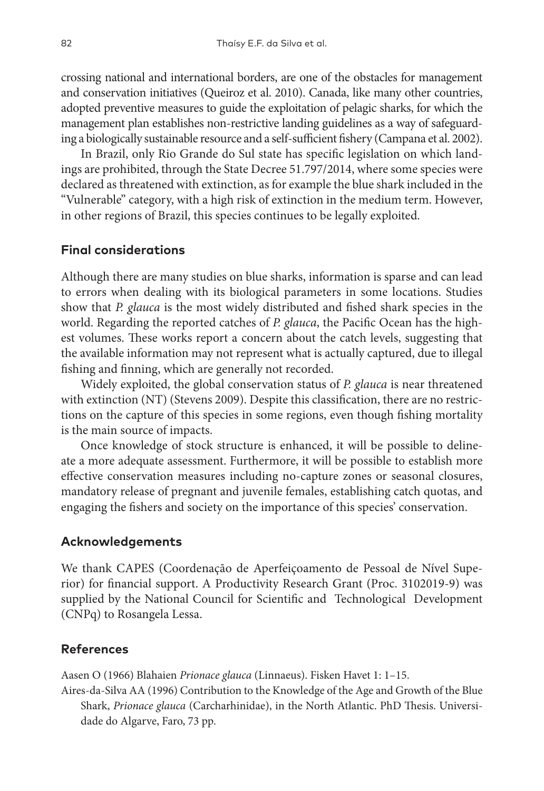crossing national and international borders, are one of the obstacles for management and conservation initiatives (Queiroz et al. 2010). Canada, like many other countries, adopted preventive measures to guide the exploitation of pelagic sharks, for which the management plan establishes non-restrictive landing guidelines as a way of safeguarding a biologically sustainable resource and a self-sufficient fishery (Campana et al. 2002).

In Brazil, only Rio Grande do Sul state has specific legislation on which landings are prohibited, through the State Decree 51.797/2014, where some species were declared as threatened with extinction, as for example the blue shark included in the "Vulnerable" category, with a high risk of extinction in the medium term. However, in other regions of Brazil, this species continues to be legally exploited.

# **Final considerations**

Although there are many studies on blue sharks, information is sparse and can lead to errors when dealing with its biological parameters in some locations. Studies show that *P. glauca* is the most widely distributed and fished shark species in the world. Regarding the reported catches of *P. glauca*, the Pacific Ocean has the highest volumes. These works report a concern about the catch levels, suggesting that the available information may not represent what is actually captured, due to illegal fishing and finning, which are generally not recorded.

Widely exploited, the global conservation status of *P. glauca* is near threatened with extinction (NT) (Stevens 2009). Despite this classification, there are no restrictions on the capture of this species in some regions, even though fishing mortality is the main source of impacts.

Once knowledge of stock structure is enhanced, it will be possible to delineate a more adequate assessment. Furthermore, it will be possible to establish more effective conservation measures including no-capture zones or seasonal closures, mandatory release of pregnant and juvenile females, establishing catch quotas, and engaging the fishers and society on the importance of this species' conservation.

#### **Acknowledgements**

We thank CAPES (Coordenação de Aperfeiçoamento de Pessoal de Nível Superior) for financial support. A Productivity Research Grant (Proc. 3102019-9) was supplied by the National Council for Scientific and Technological Development (CNPq) to Rosangela Lessa.

## **References**

Aasen O (1966) Blahaien *Prionace glauca* (Linnaeus). Fisken Havet 1: 1–15.

Aires-da-Silva AA (1996) Contribution to the Knowledge of the Age and Growth of the Blue Shark, *Prionace glauca* (Carcharhinidae), in the North Atlantic. PhD Thesis. Universidade do Algarve, Faro, 73 pp.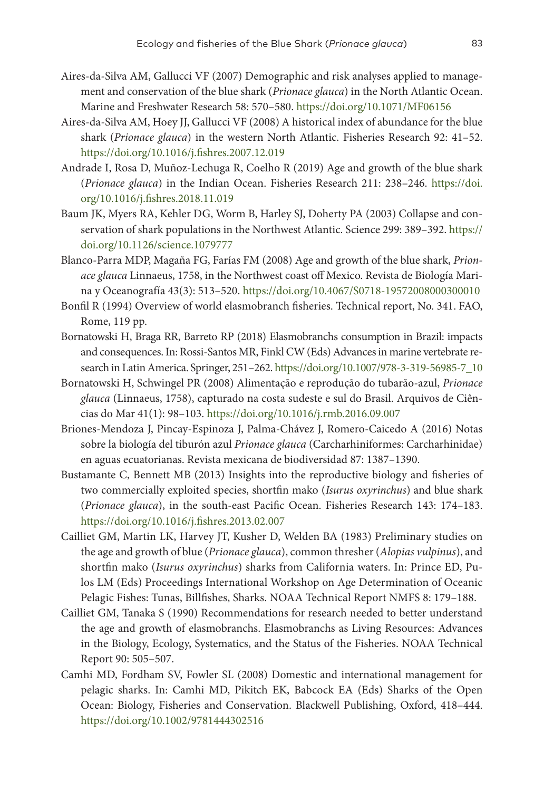- Aires-da-Silva AM, Gallucci VF (2007) Demographic and risk analyses applied to management and conservation of the blue shark (*Prionace glauca*) in the North Atlantic Ocean. Marine and Freshwater Research 58: 570–580.<https://doi.org/10.1071/MF06156>
- Aires-da-Silva AM, Hoey JJ, Gallucci VF (2008) A historical index of abundance for the blue shark (*Prionace glauca*) in the western North Atlantic. Fisheries Research 92: 41–52. <https://doi.org/10.1016/j.fishres.2007.12.019>
- Andrade I, Rosa D, Muñoz-Lechuga R, Coelho R (2019) Age and growth of the blue shark (*Prionace glauca*) in the Indian Ocean. Fisheries Research 211: 238–246. [https://doi.](https://doi.org/10.1016/j.fishres.2018.11.019) [org/10.1016/j.fishres.2018.11.019](https://doi.org/10.1016/j.fishres.2018.11.019)
- Baum JK, Myers RA, Kehler DG, Worm B, Harley SJ, Doherty PA (2003) Collapse and conservation of shark populations in the Northwest Atlantic. Science 299: 389–392. [https://](https://doi.org/10.1126/science.1079777) [doi.org/10.1126/science.1079777](https://doi.org/10.1126/science.1079777)
- Blanco-Parra MDP, Magaña FG, Farías FM (2008) Age and growth of the blue shark, *Prionace glauca* Linnaeus, 1758, in the Northwest coast off Mexico. Revista de Biología Marina y Oceanografía 43(3): 513–520. <https://doi.org/10.4067/S0718-19572008000300010>
- Bonfil R (1994) Overview of world elasmobranch fisheries. Technical report, No. 341. FAO, Rome, 119 pp.
- Bornatowski H, Braga RR, Barreto RP (2018) Elasmobranchs consumption in Brazil: impacts and consequences. In: Rossi-Santos MR, Finkl CW (Eds) Advancesin marine vertebrate research in LatinAmerica. Springer, 251–262. [https://doi.org/10.1007/978-3-319-56985-7\\_10](https://doi.org/10.1007/978-3-319-56985-7_10)
- Bornatowski H, Schwingel PR (2008) Alimentação e reprodução do tubarão-azul, *Prionace glauca* (Linnaeus, 1758), capturado na costa sudeste e sul do Brasil. Arquivos de Ciências do Mar 41(1): 98–103. <https://doi.org/10.1016/j.rmb.2016.09.007>
- Briones-Mendoza J, Pincay-Espinoza J, Palma-Chávez J, Romero-Caicedo A (2016) Notas sobre la biología del tiburón azul *Prionace glauca* (Carcharhiniformes: Carcharhinidae) en aguas ecuatorianas. Revista mexicana de biodiversidad 87: 1387–1390.
- Bustamante C, Bennett MB (2013) Insights into the reproductive biology and fisheries of two commercially exploited species, shortfin mako (*Isurus oxyrinchus*) and blue shark (*Prionace glauca*), in the south-east Pacific Ocean. Fisheries Research 143: 174–183. <https://doi.org/10.1016/j.fishres.2013.02.007>
- Cailliet GM, Martin LK, Harvey JT, Kusher D, Welden BA (1983) Preliminary studies on the age and growth of blue (*Prionace glauca*), common thresher (*Alopias vulpinus*), and shortfin mako (*Isurus oxyrinchus*) sharks from California waters. In: Prince ED, Pulos LM (Eds) Proceedings International Workshop on Age Determination of Oceanic Pelagic Fishes: Tunas, Billfishes, Sharks. NOAA Technical Report NMFS 8: 179–188.
- Cailliet GM, Tanaka S (1990) Recommendations for research needed to better understand the age and growth of elasmobranchs. Elasmobranchs as Living Resources: Advances in the Biology, Ecology, Systematics, and the Status of the Fisheries. NOAA Technical Report 90: 505–507.
- Camhi MD, Fordham SV, Fowler SL (2008) Domestic and international management for pelagic sharks. In: Camhi MD, Pikitch EK, Babcock EA (Eds) Sharks of the Open Ocean: Biology, Fisheries and Conservation. Blackwell Publishing, Oxford, 418–444. <https://doi.org/10.1002/9781444302516>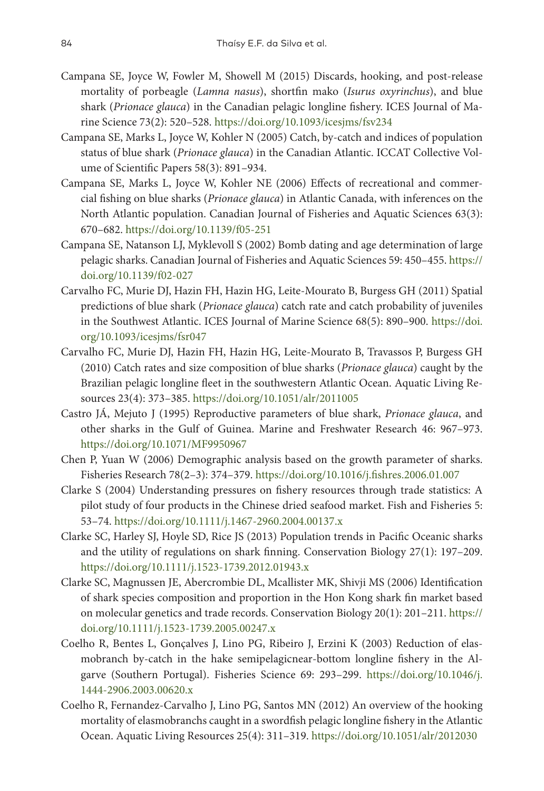- Campana SE, Joyce W, Fowler M, Showell M (2015) Discards, hooking, and post-release mortality of porbeagle (*Lamna nasus*), shortfin mako (*Isurus oxyrinchus*), and blue shark (*Prionace glauca*) in the Canadian pelagic longline fishery. ICES Journal of Marine Science 73(2): 520–528.<https://doi.org/10.1093/icesjms/fsv234>
- Campana SE, Marks L, Joyce W, Kohler N (2005) Catch, by-catch and indices of population status of blue shark (*Prionace glauca*) in the Canadian Atlantic. ICCAT Collective Volume of Scientific Papers 58(3): 891–934.
- Campana SE, Marks L, Joyce W, Kohler NE (2006) Effects of recreational and commercial fishing on blue sharks (*Prionace glauca*) in Atlantic Canada, with inferences on the North Atlantic population. Canadian Journal of Fisheries and Aquatic Sciences 63(3): 670–682. <https://doi.org/10.1139/f05-251>
- Campana SE, Natanson LJ, Myklevoll S (2002) Bomb dating and age determination of large pelagic sharks. Canadian Journal of Fisheries and Aquatic Sciences 59: 450–455. [https://](https://doi.org/10.1139/f02-027) [doi.org/10.1139/f02-027](https://doi.org/10.1139/f02-027)
- Carvalho FC, Murie DJ, Hazin FH, Hazin HG, Leite-Mourato B, Burgess GH (2011) Spatial predictions of blue shark (*Prionace glauca*) catch rate and catch probability of juveniles in the Southwest Atlantic. ICES Journal of Marine Science 68(5): 890–900. [https://doi.](https://doi.org/10.1093/icesjms/fsr047) [org/10.1093/icesjms/fsr047](https://doi.org/10.1093/icesjms/fsr047)
- Carvalho FC, Murie DJ, Hazin FH, Hazin HG, Leite-Mourato B, Travassos P, Burgess GH (2010) Catch rates and size composition of blue sharks (*Prionace glauca*) caught by the Brazilian pelagic longline fleet in the southwestern Atlantic Ocean. Aquatic Living Resources 23(4): 373–385. <https://doi.org/10.1051/alr/2011005>
- Castro JÁ, Mejuto J (1995) Reproductive parameters of blue shark, *Prionace glauca*, and other sharks in the Gulf of Guinea. Marine and Freshwater Research 46: 967–973. <https://doi.org/10.1071/MF9950967>
- Chen P, Yuan W (2006) Demographic analysis based on the growth parameter of sharks. Fisheries Research 78(2–3): 374–379. <https://doi.org/10.1016/j.fishres.2006.01.007>
- Clarke S (2004) Understanding pressures on fishery resources through trade statistics: A pilot study of four products in the Chinese dried seafood market. Fish and Fisheries 5: 53–74.<https://doi.org/10.1111/j.1467-2960.2004.00137.x>
- Clarke SC, Harley SJ, Hoyle SD, Rice JS (2013) Population trends in Pacific Oceanic sharks and the utility of regulations on shark finning. Conservation Biology 27(1): 197–209. <https://doi.org/10.1111/j.1523-1739.2012.01943.x>
- Clarke SC, Magnussen JE, Abercrombie DL, Mcallister MK, Shivji MS (2006) Identification of shark species composition and proportion in the Hon Kong shark fin market based on molecular genetics and trade records. Conservation Biology 20(1): 201–211. [https://](https://doi.org/10.1111/j.1523-1739.2005.00247.x) [doi.org/10.1111/j.1523-1739.2005.00247.x](https://doi.org/10.1111/j.1523-1739.2005.00247.x)
- Coelho R, Bentes L, Gonçalves J, Lino PG, Ribeiro J, Erzini K (2003) Reduction of elasmobranch by‐catch in the hake semipelagicnear‐bottom longline fishery in the Algarve (Southern Portugal). Fisheries Science 69: 293–299. [https://doi.org/10.1046/j.](https://doi.org/10.1046/j.1444-2906.2003.00620.x) [1444-2906.2003.00620.x](https://doi.org/10.1046/j.1444-2906.2003.00620.x)
- Coelho R, Fernandez-Carvalho J, Lino PG, Santos MN (2012) An overview of the hooking mortality of elasmobranchs caught in a swordfish pelagic longline fishery in the Atlantic Ocean. Aquatic Living Resources 25(4): 311–319.<https://doi.org/10.1051/alr/2012030>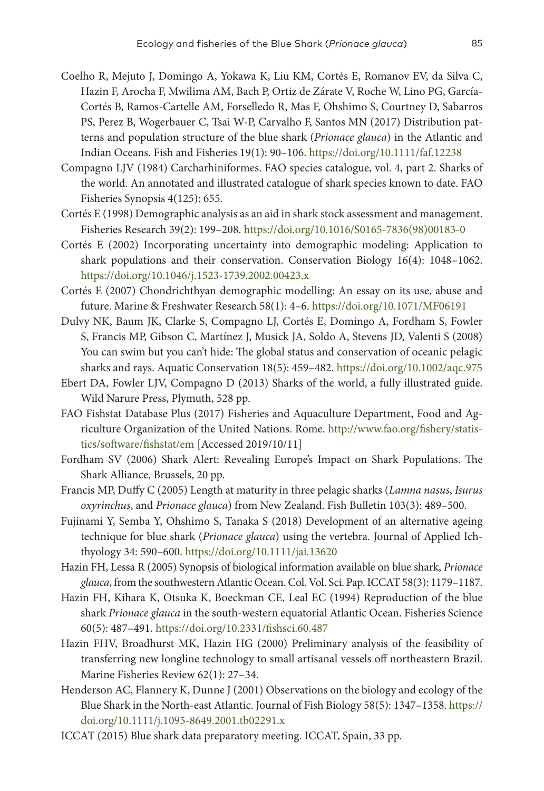- Coelho R, Mejuto J, Domingo A, Yokawa K, Liu KM, Cortés E, Romanov EV, da Silva C, Hazin F, Arocha F, Mwilima AM, Bach P, Ortiz de Zárate V, Roche W, Lino PG, García-Cortés B, Ramos-Cartelle AM, Forselledo R, Mas F, Ohshimo S, Courtney D, Sabarros PS, Perez B, Wogerbauer C, Tsai W-P, Carvalho F, Santos MN (2017) Distribution patterns and population structure of the blue shark (*Prionace glauca*) in the Atlantic and Indian Oceans. Fish and Fisheries 19(1): 90–106. <https://doi.org/10.1111/faf.12238>
- Compagno LJV (1984) Carcharhiniformes. FAO species catalogue, vol. 4, part 2. Sharks of the world. An annotated and illustrated catalogue of shark species known to date. FAO Fisheries Synopsis 4(125): 655.
- Cortés E (1998) Demographic analysis as an aid in shark stock assessment and management. Fisheries Research 39(2): 199–208. [https://doi.org/10.1016/S0165-7836\(98\)00183-0](https://doi.org/10.1016/S0165-7836(98)00183-0)
- Cortés E (2002) Incorporating uncertainty into demographic modeling: Application to shark populations and their conservation. Conservation Biology 16(4): 1048–1062. <https://doi.org/10.1046/j.1523-1739.2002.00423.x>
- Cortés E (2007) Chondrichthyan demographic modelling: An essay on its use, abuse and future. Marine & Freshwater Research 58(1): 4–6.<https://doi.org/10.1071/MF06191>
- Dulvy NK, Baum JK, Clarke S, Compagno LJ, Cortés E, Domingo A, Fordham S, Fowler S, Francis MP, Gibson C, Martínez J, Musick JA, Soldo A, Stevens JD, Valenti S (2008) You can swim but you can't hide: The global status and conservation of oceanic pelagic sharks and rays. Aquatic Conservation 18(5): 459–482. <https://doi.org/10.1002/aqc.975>
- Ebert DA, Fowler LJV, Compagno D (2013) Sharks of the world, a fully illustrated guide. Wild Narure Press, Plymuth, 528 pp.
- FAO Fishstat Database Plus (2017) Fisheries and Aquaculture Department, Food and Agriculture Organization of the United Nations. Rome. [http://www.fao.org/fishery/statis](http://www.fao.org/fishery/statistics/software/fishstat/em)[tics/software/fishstat/em](http://www.fao.org/fishery/statistics/software/fishstat/em) [Accessed 2019/10/11]
- Fordham SV (2006) Shark Alert: Revealing Europe's Impact on Shark Populations. The Shark Alliance, Brussels, 20 pp.
- Francis MP, Duffy C (2005) Length at maturity in three pelagic sharks (*Lamna nasus*, *Isurus oxyrinchus*, and *Prionace glauca*) from New Zealand. Fish Bulletin 103(3): 489–500.
- Fujinami Y, Semba Y, Ohshimo S, Tanaka S (2018) Development of an alternative ageing technique for blue shark (*Prionace glauca*) using the vertebra. Journal of Applied Ichthyology 34: 590–600.<https://doi.org/10.1111/jai.13620>
- Hazin FH, Lessa R (2005) Synopsis of biological information available on blue shark, *Prionace glauca*, from the southwesternAtlantic Ocean. Col. Vol. Sci. Pap. ICCAT58(3): 1179–1187.
- Hazin FH, Kihara K, Otsuka K, Boeckman CE, Leal EC (1994) Reproduction of the blue shark *Prionace glauca* in the south-western equatorial Atlantic Ocean. Fisheries Science 60(5): 487–491. <https://doi.org/10.2331/fishsci.60.487>
- Hazin FHV, Broadhurst MK, Hazin HG (2000) Preliminary analysis of the feasibility of transferring new longline technology to small artisanal vessels off northeastern Brazil. Marine Fisheries Review 62(1): 27–34.
- Henderson AC, Flannery K, Dunne J (2001) Observations on the biology and ecology of the Blue Shark in the North-east Atlantic. Journal of Fish Biology 58(5): 1347–1358. [https://](https://doi.org/10.1111/j.1095-8649.2001.tb02291.x) [doi.org/10.1111/j.1095-8649.2001.tb02291.x](https://doi.org/10.1111/j.1095-8649.2001.tb02291.x)
- ICCAT (2015) Blue shark data preparatory meeting. ICCAT, Spain, 33 pp.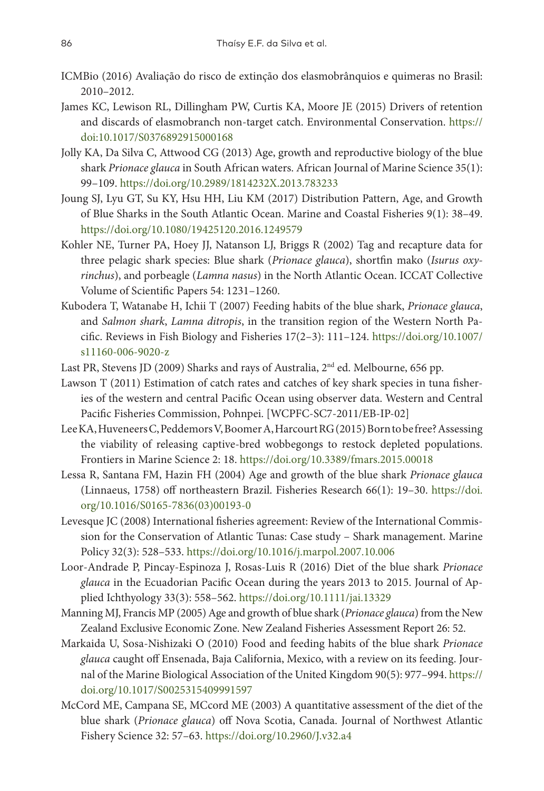- ICMBio (2016) Avaliação do risco de extinção dos elasmobrânquios e quimeras no Brasil: 2010–2012.
- James KC, Lewison RL, Dillingham PW, Curtis KA, Moore JE (2015) Drivers of retention and discards of elasmobranch non-target catch. Environmental Conservation. https:// doi:10.1017/S0376892915000168
- Jolly KA, Da Silva C, Attwood CG (2013) Age, growth and reproductive biology of the blue shark *Prionace glauca* in South African waters. African Journal of Marine Science 35(1): 99–109.<https://doi.org/10.2989/1814232X.2013.783233>
- Joung SJ, Lyu GT, Su KY, Hsu HH, Liu KM (2017) Distribution Pattern, Age, and Growth of Blue Sharks in the South Atlantic Ocean. Marine and Coastal Fisheries 9(1): 38–49. <https://doi.org/10.1080/19425120.2016.1249579>
- Kohler NE, Turner PA, Hoey JJ, Natanson LJ, Briggs R (2002) Tag and recapture data for three pelagic shark species: Blue shark (*Prionace glauca*), shortfin mako (*Isurus oxyrinchus*), and porbeagle (*Lamna nasus*) in the North Atlantic Ocean. ICCAT Collective Volume of Scientific Papers 54: 1231–1260.
- Kubodera T, Watanabe H, Ichii T (2007) Feeding habits of the blue shark, *Prionace glauca*, and *Salmon shark*, *Lamna ditropis*, in the transition region of the Western North Pacific. Reviews in Fish Biology and Fisheries 17(2–3): 111–124. [https://doi.org/10.1007/](https://doi.org/10.1007/s11160-006-9020-z) [s11160-006-9020-z](https://doi.org/10.1007/s11160-006-9020-z)
- Last PR, Stevens JD (2009) Sharks and rays of Australia, 2<sup>nd</sup> ed. Melbourne, 656 pp.
- Lawson T (2011) Estimation of catch rates and catches of key shark species in tuna fisheries of the western and central Pacific Ocean using observer data. Western and Central Pacific Fisheries Commission, Pohnpei. [WCPFC-SC7-2011/EB-IP-02]
- LeeKA, HuveneersC, PeddemorsV, BoomerA, HarcourtRG (2015) Borntobefree? Assessing the viability of releasing captive-bred wobbegongs to restock depleted populations. Frontiers in Marine Science 2: 18.<https://doi.org/10.3389/fmars.2015.00018>
- Lessa R, Santana FM, Hazin FH (2004) Age and growth of the blue shark *Prionace glauca* (Linnaeus, 1758) off northeastern Brazil. Fisheries Research 66(1): 19–30. [https://doi.](https://doi.org/10.1016/S0165-7836(03)00193-0) [org/10.1016/S0165-7836\(03\)00193-0](https://doi.org/10.1016/S0165-7836(03)00193-0)
- Levesque JC (2008) International fisheries agreement: Review of the International Commission for the Conservation of Atlantic Tunas: Case study – Shark management. Marine Policy 32(3): 528–533. <https://doi.org/10.1016/j.marpol.2007.10.006>
- Loor‐Andrade P, Pincay‐Espinoza J, Rosas‐Luis R (2016) Diet of the blue shark *Prionace glauca* in the Ecuadorian Pacific Ocean during the years 2013 to 2015. Journal of Applied Ichthyology 33(3): 558–562. <https://doi.org/10.1111/jai.13329>
- Manning MJ, Francis MP (2005) Age and growth of blue shark (*Prionace glauca*) from the New Zealand Exclusive Economic Zone. New Zealand Fisheries Assessment Report 26: 52.
- Markaida U, Sosa-Nishizaki O (2010) Food and feeding habits of the blue shark *Prionace glauca* caught off Ensenada, Baja California, Mexico, with a review on its feeding. Journal of the Marine Biological Association of the United Kingdom 90(5): 977–994. [https://](https://doi.org/10.1017/S0025315409991597) [doi.org/10.1017/S0025315409991597](https://doi.org/10.1017/S0025315409991597)
- McCord ME, Campana SE, MCcord ME (2003) A quantitative assessment of the diet of the blue shark (*Prionace glauca*) off Nova Scotia, Canada. Journal of Northwest Atlantic Fishery Science 32: 57–63. <https://doi.org/10.2960/J.v32.a4>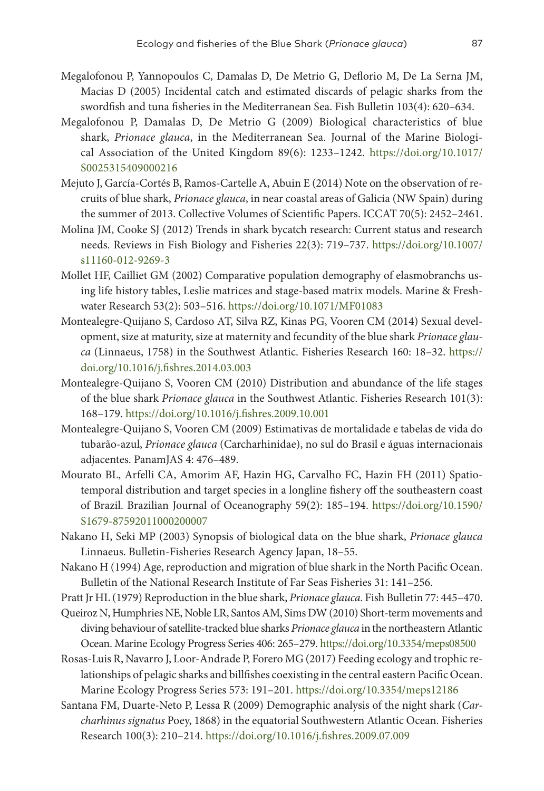- Megalofonou P, Yannopoulos C, Damalas D, De Metrio G, Deflorio M, De La Serna JM, Macias D (2005) Incidental catch and estimated discards of pelagic sharks from the swordfish and tuna fisheries in the Mediterranean Sea. Fish Bulletin 103(4): 620–634.
- Megalofonou P, Damalas D, De Metrio G (2009) Biological characteristics of blue shark, *Prionace glauca*, in the Mediterranean Sea. Journal of the Marine Biological Association of the United Kingdom 89(6): 1233–1242. [https://doi.org/10.1017/](https://doi.org/10.1017/S0025315409000216) [S0025315409000216](https://doi.org/10.1017/S0025315409000216)
- Mejuto J, García-Cortés B, Ramos-Cartelle A, Abuin E (2014) Note on the observation of recruits of blue shark, *Prionace glauca*, in near coastal areas of Galicia (NW Spain) during the summer of 2013. Collective Volumes of Scientific Papers. ICCAT 70(5): 2452–2461.
- Molina JM, Cooke SJ (2012) Trends in shark bycatch research: Current status and research needs. Reviews in Fish Biology and Fisheries 22(3): 719–737. [https://doi.org/10.1007/](https://doi.org/10.1007/s11160-012-9269-3) [s11160-012-9269-3](https://doi.org/10.1007/s11160-012-9269-3)
- Mollet HF, Cailliet GM (2002) Comparative population demography of elasmobranchs using life history tables, Leslie matrices and stage-based matrix models. Marine & Freshwater Research 53(2): 503–516.<https://doi.org/10.1071/MF01083>
- Montealegre-Quijano S, Cardoso AT, Silva RZ, Kinas PG, Vooren CM (2014) Sexual development, size at maturity, size at maternity and fecundity of the blue shark *Prionace glauca* (Linnaeus, 1758) in the Southwest Atlantic. Fisheries Research 160: 18–32. [https://](https://doi.org/10.1016/j.fishres.2014.03.003) [doi.org/10.1016/j.fishres.2014.03.003](https://doi.org/10.1016/j.fishres.2014.03.003)
- Montealegre-Quijano S, Vooren CM (2010) Distribution and abundance of the life stages of the blue shark *Prionace glauca* in the Southwest Atlantic. Fisheries Research 101(3): 168–179. <https://doi.org/10.1016/j.fishres.2009.10.001>
- Montealegre-Quijano S, Vooren CM (2009) Estimativas de mortalidade e tabelas de vida do tubarão-azul, *Prionace glauca* (Carcharhinidae), no sul do Brasil e águas internacionais adjacentes. PanamJAS 4: 476–489.
- Mourato BL, Arfelli CA, Amorim AF, Hazin HG, Carvalho FC, Hazin FH (2011) Spatiotemporal distribution and target species in a longline fishery off the southeastern coast of Brazil. Brazilian Journal of Oceanography 59(2): 185–194. [https://doi.org/10.1590/](https://doi.org/10.1590/S1679-87592011000200007) [S1679-87592011000200007](https://doi.org/10.1590/S1679-87592011000200007)
- Nakano H, Seki MP (2003) Synopsis of biological data on the blue shark, *Prionace glauca* Linnaeus. Bulletin-Fisheries Research Agency Japan, 18–55.
- Nakano H (1994) Age, reproduction and migration of blue shark in the North Pacific Ocean. Bulletin of the National Research Institute of Far Seas Fisheries 31: 141–256.
- Pratt Jr HL (1979) Reproduction in the blue shark, *Prionace glauca.* Fish Bulletin 77: 445–470.
- Queiroz N, Humphries NE, Noble LR, SantosAM, Sims DW (2010) Short-term movements and diving behaviour ofsatellite-tracked blue sharks *Prionace glauca* in the northeasternAtlantic Ocean. Marine Ecology Progress Series 406: 265–279.<https://doi.org/10.3354/meps08500>
- Rosas-Luis R, Navarro J, Loor-Andrade P, Forero MG (2017) Feeding ecology and trophic relationships of pelagic sharks and billfishes coexisting in the central eastern Pacific Ocean. Marine Ecology Progress Series 573: 191–201.<https://doi.org/10.3354/meps12186>
- Santana FM, Duarte-Neto P, Lessa R (2009) Demographic analysis of the night shark (*Carcharhinus signatus* Poey, 1868) in the equatorial Southwestern Atlantic Ocean. Fisheries Research 100(3): 210–214. <https://doi.org/10.1016/j.fishres.2009.07.009>